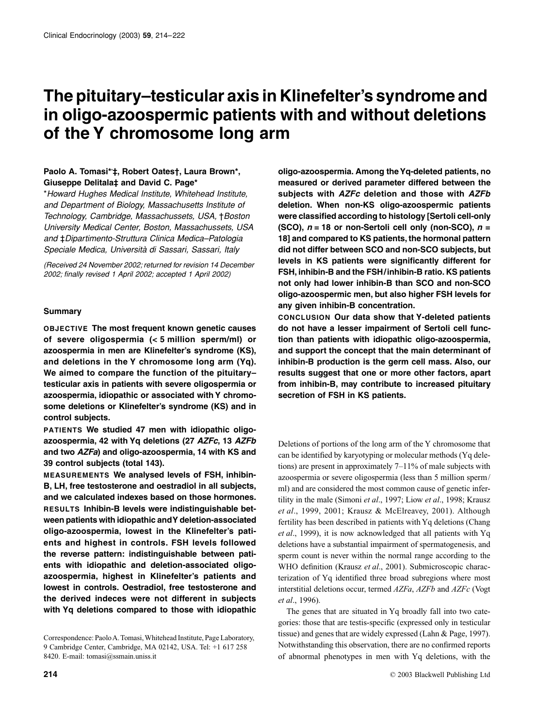# The pituitary–testicular axis in Klinefelter's syndrome and **in oligo-azoospermic patients with and without deletions of the Y chromosome long arm**

## Paolo A. Tomasi\*<sup>\*</sup>; Robert Oates†, Laura Brown\*, **Giuseppe Delitala‡ and David C. Page\***

\**Howard Hughes Medical Institute, Whitehead Institute, and Department of Biology, Massachusetts Institute of Technology, Cambridge, Massachussets, USA,* †*Boston University Medical Center, Boston, Massachussets, USA and* ‡*Dipartimento-Struttura Clinica Medica–Patologia Speciale Medica, Università di Sassari, Sassari, Italy*

*(Received 24 November 2002; returned for revision 14 December 2002; finally revised 1 April 2002; accepted 1 April 2002)*

## **Summary**

**OBJECTIVE The most frequent known genetic causes of severe oligospermia (< 5 million sperm/ml) or azoospermia in men are Klinefelter's syndrome (KS), and deletions in the Y chromosome long arm (Yq). We aimed to compare the function of the pituitary– testicular axis in patients with severe oligospermia or azoospermia, idiopathic or associated with Y chromosome deletions or Klinefelter's syndrome (KS) and in control subjects.**

**PATIENTS We studied 47 men with idiopathic oligoazoospermia, 42 with Yq deletions (27** *AZFc***, 13** *AZFb* **and two** *AZFa***) and oligo-azoospermia, 14 with KS and 39 control subjects (total 143).**

**MEASUREMENTS We analysed levels of FSH, inhibin-B, LH, free testosterone and oestradiol in all subjects, and we calculated indexes based on those hormones. RESULTS Inhibin-B levels were indistinguishable between patients with idiopathic and Y deletion-associated oligo-azoospermia, lowest in the Klinefelter's patients and highest in controls. FSH levels followed the reverse pattern: indistinguishable between patients with idiopathic and deletion-associated oligoazoospermia, highest in Klinefelter's patients and lowest in controls. Oestradiol, free testosterone and the derived indeces were not different in subjects with Yq deletions compared to those with idiopathic**

**oligo-azoospermia. Among the Yq-deleted patients, no measured or derived parameter differed between the subjects with** *AZFc* **deletion and those with** *AZFb* **deletion. When non-KS oligo-azoospermic patients were classified according to histology [Sertoli cell-only (SCO),**  $n = 18$  **or non-Sertoli cell only (non-SCO),**  $n =$ **18] and compared to KS patients, the hormonal pattern did not differ between SCO and non-SCO subjects, but levels in KS patients were significantly different for FSH, inhibin-B and the FSH/inhibin-B ratio. KS patients not only had lower inhibin-B than SCO and non-SCO oligo-azoospermic men, but also higher FSH levels for any given inhibin-B concentration.**

**CONCLUSION Our data show that Y-deleted patients do not have a lesser impairment of Sertoli cell function than patients with idiopathic oligo-azoospermia, and support the concept that the main determinant of inhibin-B production is the germ cell mass. Also, our results suggest that one or more other factors, apart from inhibin-B, may contribute to increased pituitary secretion of FSH in KS patients.**

Deletions of portions of the long arm of the Y chromosome that can be identified by karyotyping or molecular methods (Yq deletions) are present in approximately 7–11% of male subjects with azoospermia or severe oligospermia (less than 5 million sperm/ ml) and are considered the most common cause of genetic infertility in the male (Simoni *et al*., 1997; Liow *et al*., 1998; Krausz *et al*., 1999, 2001; Krausz & McElreavey, 2001). Although fertility has been described in patients with Yq deletions (Chang *et al*., 1999), it is now acknowledged that all patients with Yq deletions have a substantial impairment of spermatogenesis, and sperm count is never within the normal range according to the WHO definition (Krausz *et al*., 2001). Submicroscopic characterization of Yq identified three broad subregions where most interstitial deletions occur, termed *AZFa*, *AZFb* and *AZFc* (Vogt *et al*., 1996).

The genes that are situated in Yq broadly fall into two categories: those that are testis-specific (expressed only in testicular tissue) and genes that are widely expressed (Lahn & Page, 1997). Notwithstanding this observation, there are no confirmed reports of abnormal phenotypes in men with Yq deletions, with the

Correspondence: Paolo A. Tomasi, Whitehead Institute, Page Laboratory, 9 Cambridge Center, Cambridge, MA 02142, USA. Tel: +1 617 258 8420. E-mail: tomasi@ssmain.uniss.it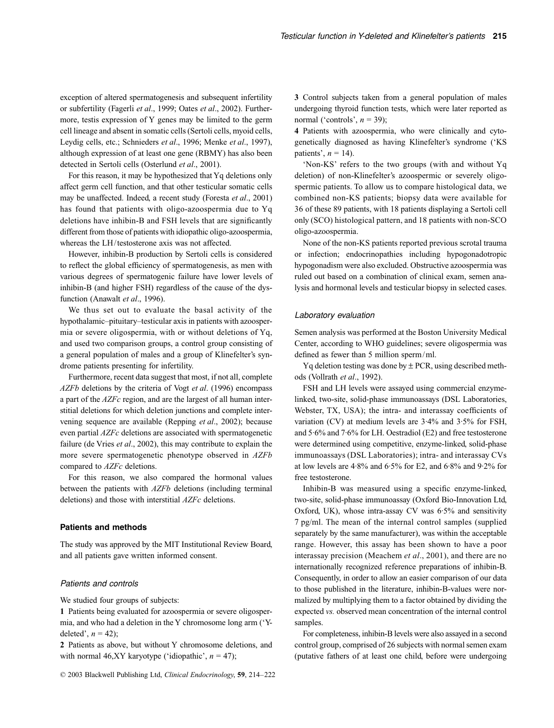exception of altered spermatogenesis and subsequent infertility or subfertility (Fagerli *et al*., 1999; Oates *et al*., 2002). Furthermore, testis expression of Y genes may be limited to the germ cell lineage and absent in somatic cells (Sertoli cells, myoid cells, Leydig cells, etc.; Schnieders *et al*., 1996; Menke *et al*., 1997), although expression of at least one gene (RBMY) has also been detected in Sertoli cells (Osterlund *et al*., 2001).

For this reason, it may be hypothesized that Yq deletions only affect germ cell function, and that other testicular somatic cells may be unaffected. Indeed, a recent study (Foresta *et al*., 2001) has found that patients with oligo-azoospermia due to Yq deletions have inhibin-B and FSH levels that are significantly different from those of patients with idiopathic oligo-azoospermia, whereas the LH/testosterone axis was not affected.

However, inhibin-B production by Sertoli cells is considered to reflect the global efficiency of spermatogenesis, as men with various degrees of spermatogenic failure have lower levels of inhibin-B (and higher FSH) regardless of the cause of the dysfunction (Anawalt *et al*., 1996).

We thus set out to evaluate the basal activity of the hypothalamic–pituitary–testicular axis in patients with azoospermia or severe oligospermia, with or without deletions of Yq, and used two comparison groups, a control group consisting of a general population of males and a group of Klinefelter's syndrome patients presenting for infertility.

Furthermore, recent data suggest that most, if not all, complete *AZFb* deletions by the criteria of Vogt *et al*. (1996) encompass a part of the *AZFc* region, and are the largest of all human interstitial deletions for which deletion junctions and complete intervening sequence are available (Repping *et al*., 2002); because even partial *AZFc* deletions are associated with spermatogenetic failure (de Vries *et al*., 2002), this may contribute to explain the more severe spermatogenetic phenotype observed in *AZFb* compared to *AZFc* deletions.

For this reason, we also compared the hormonal values between the patients with *AZFb* deletions (including terminal deletions) and those with interstitial *AZFc* deletions.

## **Patients and methods**

The study was approved by the MIT Institutional Review Board, and all patients gave written informed consent.

#### *Patients and controls*

We studied four groups of subjects:

**1** Patients being evaluated for azoospermia or severe oligospermia, and who had a deletion in the Y chromosome long arm ('Ydeleted',  $n = 42$ );

**2** Patients as above, but without Y chromosome deletions, and with normal 46,XY karyotype ('idiopathic',  $n = 47$ );

**3** Control subjects taken from a general population of males undergoing thyroid function tests, which were later reported as normal ('controls', *n* = 39);

**4** Patients with azoospermia, who were clinically and cytogenetically diagnosed as having Klinefelter's syndrome ('KS patients',  $n = 14$ ).

'Non-KS' refers to the two groups (with and without Yq deletion) of non-Klinefelter's azoospermic or severely oligospermic patients. To allow us to compare histological data, we combined non-KS patients; biopsy data were available for 36 of these 89 patients, with 18 patients displaying a Sertoli cell only (SCO) histological pattern, and 18 patients with non-SCO oligo-azoospermia.

None of the non-KS patients reported previous scrotal trauma or infection; endocrinopathies including hypogonadotropic hypogonadism were also excluded. Obstructive azoospermia was ruled out based on a combination of clinical exam, semen analysis and hormonal levels and testicular biopsy in selected cases.

#### *Laboratory evaluation*

Semen analysis was performed at the Boston University Medical Center, according to WHO guidelines; severe oligospermia was defined as fewer than 5 million sperm/ml.

Yq deletion testing was done by  $\pm$  PCR, using described methods (Vollrath *et al*., 1992).

FSH and LH levels were assayed using commercial enzymelinked, two-site, solid-phase immunoassays (DSL Laboratories, Webster, TX, USA); the intra- and interassay coefficients of variation (CV) at medium levels are 3·4% and 3·5% for FSH, and 5·6% and 7·6% for LH. Oestradiol (E2) and free testosterone were determined using competitive, enzyme-linked, solid-phase immunoassays (DSL Laboratories); intra- and interassay CVs at low levels are 4·8% and 6·5% for E2, and 6·8% and 9·2% for free testosterone.

Inhibin-B was measured using a specific enzyme-linked, two-site, solid-phase immunoassay (Oxford Bio-Innovation Ltd, Oxford, UK), whose intra-assay CV was 6·5% and sensitivity 7 pg/ml. The mean of the internal control samples (supplied separately by the same manufacturer), was within the acceptable range. However, this assay has been shown to have a poor interassay precision (Meachem *et al*., 2001), and there are no internationally recognized reference preparations of inhibin-B. Consequently, in order to allow an easier comparison of our data to those published in the literature, inhibin-B-values were normalized by multiplying them to a factor obtained by dividing the expected *vs.* observed mean concentration of the internal control samples.

For completeness, inhibin-B levels were also assayed in a second control group, comprised of 26 subjects with normal semen exam (putative fathers of at least one child, before were undergoing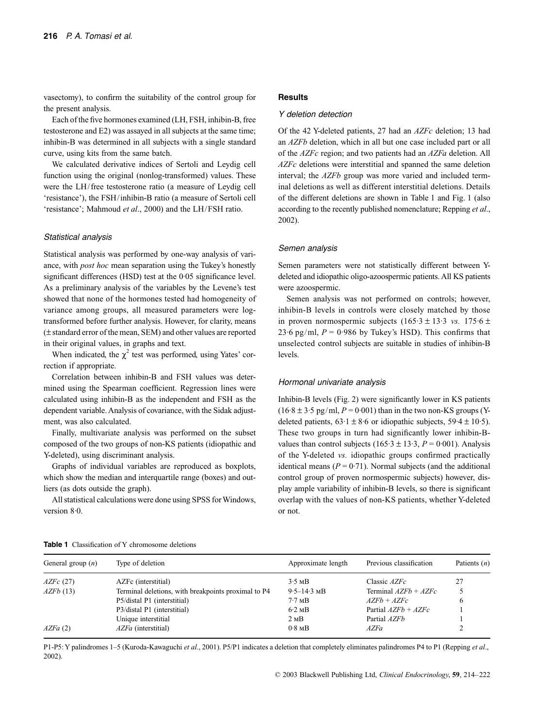vasectomy), to confirm the suitability of the control group for the present analysis.

Each of the five hormones examined (LH, FSH, inhibin-B, free testosterone and E2) was assayed in all subjects at the same time; inhibin-B was determined in all subjects with a single standard curve, using kits from the same batch.

We calculated derivative indices of Sertoli and Leydig cell function using the original (nonlog-transformed) values. These were the LH/free testosterone ratio (a measure of Leydig cell 'resistance'), the FSH/inhibin-B ratio (a measure of Sertoli cell 'resistance'; Mahmoud *et al*., 2000) and the LH/FSH ratio.

#### *Statistical analysis*

Statistical analysis was performed by one-way analysis of variance, with *post hoc* mean separation using the Tukey's honestly significant differences (HSD) test at the 0.05 significance level. As a preliminary analysis of the variables by the Levene's test showed that none of the hormones tested had homogeneity of variance among groups, all measured parameters were logtransformed before further analysis. However, for clarity, means (± standard error of the mean, SEM) and other values are reported in their original values, in graphs and text.

When indicated, the  $\chi^2$  test was performed, using Yates' correction if appropriate.

Correlation between inhibin-B and FSH values was determined using the Spearman coefficient. Regression lines were calculated using inhibin-B as the independent and FSH as the dependent variable. Analysis of covariance, with the Sidak adjustment, was also calculated.

Finally, multivariate analysis was performed on the subset composed of the two groups of non-KS patients (idiopathic and Y-deleted), using discriminant analysis.

Graphs of individual variables are reproduced as boxplots, which show the median and interquartile range (boxes) and outliers (as dots outside the graph).

All statistical calculations were done using SPSS for Windows, version 8·0.

## **Results**

## *Y deletion detection*

Of the 42 Y-deleted patients, 27 had an *AZFc* deletion; 13 had an *AZFb* deletion, which in all but one case included part or all of the *AZFc* region; and two patients had an *AZFa* deletion. All *AZFc* deletions were interstitial and spanned the same deletion interval; the *AZFb* group was more varied and included terminal deletions as well as different interstitial deletions. Details of the different deletions are shown in Table 1 and Fig. 1 (also according to the recently published nomenclature; Repping *et al*., 2002).

#### *Semen analysis*

Semen parameters were not statistically different between Ydeleted and idiopathic oligo-azoospermic patients. All KS patients were azoospermic.

Semen analysis was not performed on controls; however, inhibin-B levels in controls were closely matched by those in proven normospermic subjects  $(165.3 \pm 13.3 \text{ vs. } 175.6 \pm \text{)}$ 23.6 pg/ml,  $P = 0.986$  by Tukey's HSD). This confirms that unselected control subjects are suitable in studies of inhibin-B levels.

#### *Hormonal univariate analysis*

Inhibin-B levels (Fig. 2) were significantly lower in KS patients  $(16.8 \pm 3.5 \text{ pg/ml}, P = 0.001)$  than in the two non-KS groups (Ydeleted patients,  $63.1 \pm 8.6$  or idiopathic subjects,  $59.4 \pm 10.5$ ). These two groups in turn had significantly lower inhibin-Bvalues than control subjects ( $165.3 \pm 13.3$ ,  $P = 0.001$ ). Analysis of the Y-deleted *vs.* idiopathic groups confirmed practically identical means  $(P = 0.71)$ . Normal subjects (and the additional control group of proven normospermic subjects) however, display ample variability of inhibin-B levels, so there is significant overlap with the values of non-KS patients, whether Y-deleted or not.

| General group $(n)$ | Type of deletion                                    | Approximate length        | Previous classification  | Patients $(n)$ |
|---------------------|-----------------------------------------------------|---------------------------|--------------------------|----------------|
| AZFc(27)            | AZFc (interstitial)                                 | $3.5 \text{ MB}$          | Classic <i>AZFc</i>      | 27             |
| AZFb(13)            | Terminal deletions, with breakpoints proximal to P4 | $9.5 - 14.3$ MB           | Terminal $AZFb + AZFc$   |                |
|                     | P5/distal P1 (interstitial)                         | $7.7 \text{ }\mathrm{MB}$ | $AZFb + AZFc$            | 6              |
|                     | P3/distal P1 (interstitial)                         | $6.2 \text{ MB}$          | Partial $AZFb + AZFc$    |                |
|                     | Unique interstitial                                 | $2 \text{ MB}$            | Partial AZF <sub>b</sub> |                |
| AZFa(2)             | <i>AZFa</i> (interstitial)                          | $0.8$ MB                  | AZFa                     |                |

**Table 1** Classification of Y chromosome deletions

P1-P5: Y palindromes 1–5 (Kuroda-Kawaguchi *et al*., 2001). P5/P1 indicates a deletion that completely eliminates palindromes P4 to P1 (Repping *et al*., 2002).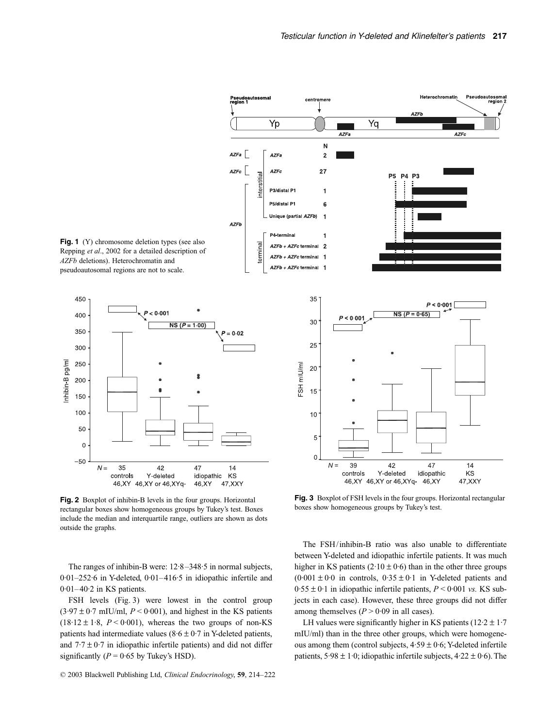

Fig. 1 (Y) chromosome deletion types (see also Repping *et al*., 2002 for a detailed description of *AZFb* deletions). Heterochromatin and pseudoautosomal regions are not to scale.

 $< 0.001$ 

450

400

350

300

250

200

150 100

50

 $\mathbf 0$ 

 $N =$ 

35

 $-50$ 

nhibin-B pg/ml



 $42$ 

The ranges of inhibin-B were: 12·8–348·5 in normal subjects, 0·01–252·6 in Y-deleted, 0·01–416·5 in idiopathic infertile and 0·01–40·2 in KS patients.

FSH levels (Fig. 3) were lowest in the control group  $(3.97 \pm 0.7 \text{ mJU/ml}, P < 0.001)$ , and highest in the KS patients  $(18.12 \pm 1.8, P < 0.001)$ , whereas the two groups of non-KS patients had intermediate values ( $8.6 \pm 0.7$  in Y-deleted patients, and  $7.7 \pm 0.7$  in idiopathic infertile patients) and did not differ significantly ( $P = 0.65$  by Tukey's HSD).

The FSH/inhibin-B ratio was also unable to differentiate between Y-deleted and idiopathic infertile patients. It was much higher in KS patients  $(2.10 \pm 0.6)$  than in the other three groups  $(0.001 \pm 0.0)$  in controls,  $0.35 \pm 0.1$  in Y-deleted patients and  $0.55 \pm 0.1$  in idiopathic infertile patients,  $P \le 0.001$  *vs.* KS subjects in each case). However, these three groups did not differ among themselves  $(P > 0.09$  in all cases).

boxes show homogeneous groups by Tukey's test.

LH values were significantly higher in KS patients  $(12.2 \pm 1.7)$ mIU/ml) than in the three other groups, which were homogeneous among them (control subjects,  $4.59 \pm 0.6$ ; Y-deleted infertile patients,  $5.98 \pm 1.0$ ; idiopathic infertile subjects,  $4.22 \pm 0.6$ ). The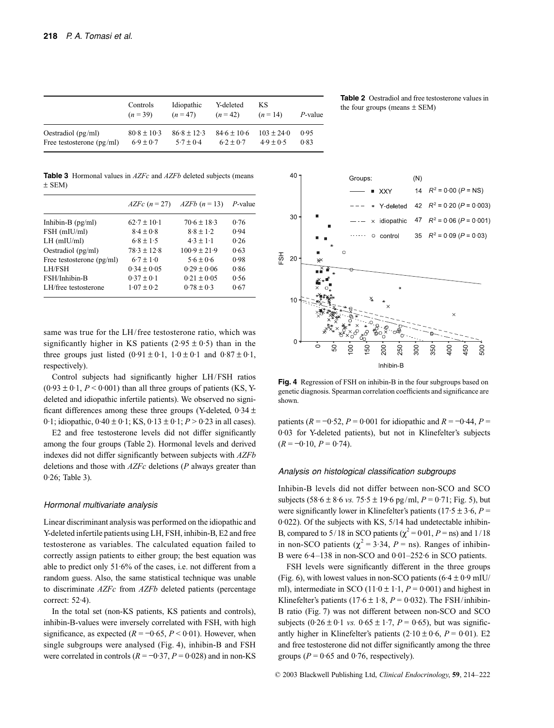|                             | Controls<br>$(n=39)$ | Idiopathic<br>$(n = 47)$ | Y-deleted<br>$(n=42)$ | ΚS<br>$(n=14)$ | P-value |
|-----------------------------|----------------------|--------------------------|-----------------------|----------------|---------|
| Oestradiol $(pg/ml)$        | $80.8 \pm 10.3$      | $86.8 \pm 12.3$          | $84.6 \pm 10.6$       | $103 \pm 24.0$ | 0.95    |
| Free testosterone $(pg/ml)$ | $6.9 \pm 0.7$        | $5.7 \pm 0.4$            | $6.2 \pm 0.7$         | $4.9 \pm 0.5$  | 0.83    |

**Table 3** Hormonal values in *AZFc* and *AZFb* deleted subjects (means  $±$  SEM)

|                           | $AZFc(n=27)$    | $AZFb(n=13)$     | $P$ -value |
|---------------------------|-----------------|------------------|------------|
| Inhibin-B $(pg/ml)$       | $62.7 \pm 10.1$ | $70.6 \pm 18.3$  | 0.76       |
| FSH (mIU/ml)              | $8.4 \pm 0.8$   | $8.8 \pm 1.2$    | 0.94       |
| $LH$ (mIU/ml)             | $6.8 \pm 1.5$   | $4.3 + 1.1$      | 0.26       |
| Oestradiol $(pg/ml)$      | $78.3 \pm 12.8$ | $100.9 \pm 21.9$ | 0.63       |
| Free testosterone (pg/ml) | $6.7 \pm 1.0$   | $5.6 \pm 0.6$    | 0.98       |
| LH/FSH                    | $0.34 \pm 0.05$ | $0.29 \pm 0.06$  | 0.86       |
| FSH/Inhibin-B             | $0.37 + 0.1$    | $0.21 \pm 0.05$  | 0.56       |
| LH/free testosterone      | $1.07 + 0.2$    | $0.78 \pm 0.3$   | 0.67       |

same was true for the LH/free testosterone ratio, which was significantly higher in KS patients  $(2.95 \pm 0.5)$  than in the three groups just listed  $(0.91 \pm 0.1, 1.0 \pm 0.1, 1.0 \pm 0.1)$ respectively).

Control subjects had significantly higher LH/FSH ratios  $(0.93 \pm 0.1, P \le 0.001)$  than all three groups of patients (KS, Ydeleted and idiopathic infertile patients). We observed no significant differences among these three groups (Y-deleted,  $0.34 \pm$ 0.1; idiopathic,  $0.40 \pm 0.1$ ; KS,  $0.13 \pm 0.1$ ;  $P > 0.23$  in all cases).

E2 and free testosterone levels did not differ significantly among the four groups (Table 2). Hormonal levels and derived indexes did not differ significantly between subjects with *AZFb* deletions and those with *AZFc* deletions (*P* always greater than 0·26; Table 3).

## *Hormonal multivariate analysis*

Linear discriminant analysis was performed on the idiopathic and Y-deleted infertile patients using LH, FSH, inhibin-B, E2 and free testosterone as variables. The calculated equation failed to correctly assign patients to either group; the best equation was able to predict only 51·6% of the cases, i.e. not different from a random guess. Also, the same statistical technique was unable to discriminate *AZFc* from *AZFb* deleted patients (percentage correct: 52·4).

In the total set (non-KS patients, KS patients and controls), inhibin-B-values were inversely correlated with FSH, with high significance, as expected  $(R = -0.65, P < 0.01)$ . However, when single subgroups were analysed (Fig. 4), inhibin-B and FSH were correlated in controls  $(R = -0.37, P = 0.028)$  and in non-KS

**Table 2** Oestradiol and free testosterone values in the four groups (means  $\pm$  SEM)



**Fig. 4** Regression of FSH on inhibin-B in the four subgroups based on genetic diagnosis. Spearman correlation coefficients and significance are shown.

patients ( $R = -0.52$ ,  $P = 0.001$  for idiopathic and  $R = -0.44$ ,  $P =$ 0·03 for Y-deleted patients), but not in Klinefelter's subjects  $(R = -0.10, P = 0.74)$ .

## *Analysis on histological classification subgroups*

Inhibin-B levels did not differ between non-SCO and SCO subjects  $(58.6 \pm 8.6 \text{ vs. } 75.5 \pm 19.6 \text{ pg/ml}, P = 0.71$ ; Fig. 5), but were significantly lower in Klinefelter's patients  $(17.5 \pm 3.6, P =$ 0·022). Of the subjects with KS, 5/14 had undetectable inhibin-B, compared to  $5/18$  in SCO patients ( $\chi^2 = 0.01$ ,  $P =$  ns) and  $1/18$ in non-SCO patients ( $\chi^2$  = 3·34, *P* = ns). Ranges of inhibin-B were 6·4–138 in non-SCO and 0·01–252·6 in SCO patients.

FSH levels were significantly different in the three groups (Fig. 6), with lowest values in non-SCO patients  $(6.4 \pm 0.9 \text{ m})$ ml), intermediate in SCO  $(11.0 \pm 1.1, P = 0.001)$  and highest in Klinefelter's patients ( $17.6 \pm 1.8$ ,  $P = 0.032$ ). The FSH/inhibin-B ratio (Fig. 7) was not different between non-SCO and SCO subjects  $(0.26 \pm 0.1 \text{ vs. } 0.65 \pm 1.7, P = 0.65)$ , but was significantly higher in Klinefelter's patients  $(2.10 \pm 0.6, P = 0.01)$ . E2 and free testosterone did not differ significantly among the three groups ( $P = 0.65$  and  $0.76$ , respectively).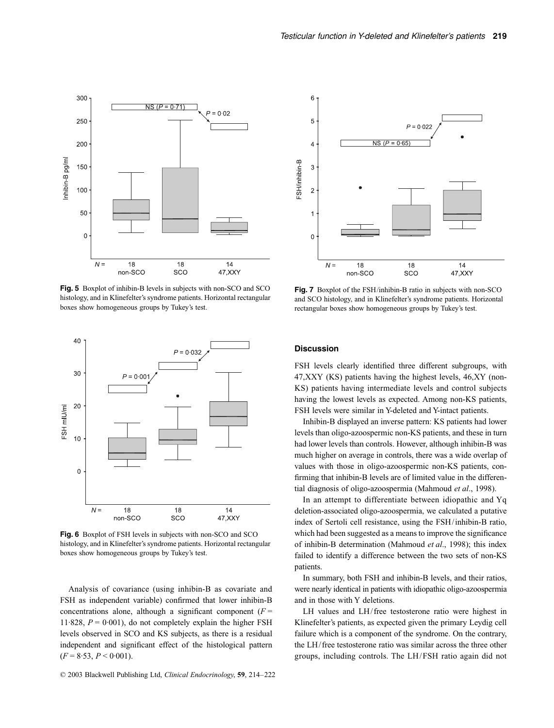

**Fig. 5** Boxplot of inhibin-B levels in subjects with non-SCO and SCO histology, and in Klinefelter's syndrome patients. Horizontal rectangular boxes show homogeneous groups by Tukey's test.



**Fig. 6** Boxplot of FSH levels in subjects with non-SCO and SCO histology, and in Klinefelter's syndrome patients. Horizontal rectangular boxes show homogeneous groups by Tukey's test.

Analysis of covariance (using inhibin-B as covariate and FSH as independent variable) confirmed that lower inhibin-B concentrations alone, although a significant component  $(F =$ 11.828,  $P = 0.001$ ), do not completely explain the higher FSH levels observed in SCO and KS subjects, as there is a residual independent and significant effect of the histological pattern  $(F = 8.53, P < 0.001)$ .



**Fig. 7** Boxplot of the FSH/inhibin-B ratio in subjects with non-SCO and SCO histology, and in Klinefelter's syndrome patients. Horizontal rectangular boxes show homogeneous groups by Tukey's test.

#### **Discussion**

FSH levels clearly identified three different subgroups, with 47,XXY (KS) patients having the highest levels, 46,XY (non-KS) patients having intermediate levels and control subjects having the lowest levels as expected. Among non-KS patients, FSH levels were similar in Y-deleted and Y-intact patients.

Inhibin-B displayed an inverse pattern: KS patients had lower levels than oligo-azoospermic non-KS patients, and these in turn had lower levels than controls. However, although inhibin-B was much higher on average in controls, there was a wide overlap of values with those in oligo-azoospermic non-KS patients, confirming that inhibin-B levels are of limited value in the differential diagnosis of oligo-azoospermia (Mahmoud *et al*., 1998).

In an attempt to differentiate between idiopathic and Yq deletion-associated oligo-azoospermia, we calculated a putative index of Sertoli cell resistance, using the FSH/inhibin-B ratio, which had been suggested as a means to improve the significance of inhibin-B determination (Mahmoud *et al*., 1998); this index failed to identify a difference between the two sets of non-KS patients.

In summary, both FSH and inhibin-B levels, and their ratios, were nearly identical in patients with idiopathic oligo-azoospermia and in those with Y deletions.

LH values and LH/free testosterone ratio were highest in Klinefelter's patients, as expected given the primary Leydig cell failure which is a component of the syndrome. On the contrary, the LH/free testosterone ratio was similar across the three other groups, including controls. The LH/FSH ratio again did not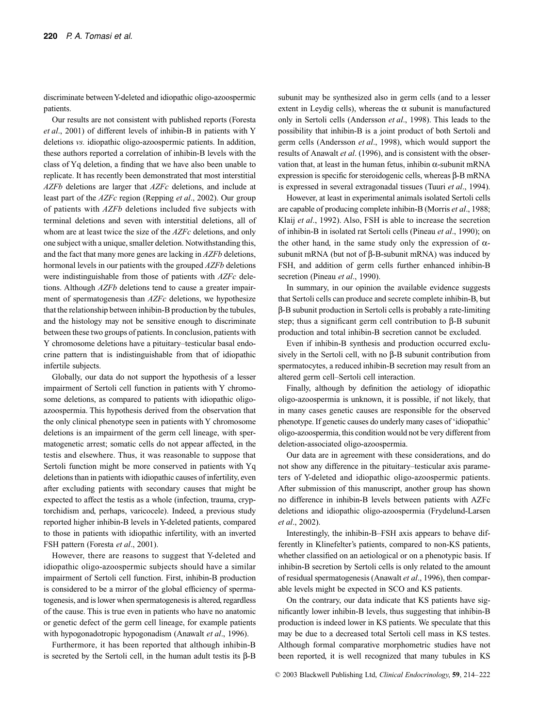discriminate between Y-deleted and idiopathic oligo-azoospermic patients.

Our results are not consistent with published reports (Foresta *et al*., 2001) of different levels of inhibin-B in patients with Y deletions *vs.* idiopathic oligo-azoospermic patients. In addition, these authors reported a correlation of inhibin-B levels with the class of Yq deletion, a finding that we have also been unable to replicate. It has recently been demonstrated that most interstitial *AZFb* deletions are larger that *AZFc* deletions, and include at least part of the *AZFc* region (Repping *et al*., 2002). Our group of patients with *AZFb* deletions included five subjects with terminal deletions and seven with interstitial deletions, all of whom are at least twice the size of the *AZFc* deletions, and only one subject with a unique, smaller deletion. Notwithstanding this, and the fact that many more genes are lacking in *AZFb* deletions, hormonal levels in our patients with the grouped *AZFb* deletions were indistinguishable from those of patients with *AZFc* deletions. Although *AZFb* deletions tend to cause a greater impairment of spermatogenesis than *AZFc* deletions, we hypothesize that the relationship between inhibin-B production by the tubules, and the histology may not be sensitive enough to discriminate between these two groups of patients. In conclusion, patients with Y chromosome deletions have a pituitary–testicular basal endocrine pattern that is indistinguishable from that of idiopathic infertile subjects.

Globally, our data do not support the hypothesis of a lesser impairment of Sertoli cell function in patients with Y chromosome deletions, as compared to patients with idiopathic oligoazoospermia. This hypothesis derived from the observation that the only clinical phenotype seen in patients with Y chromosome deletions is an impairment of the germ cell lineage, with spermatogenetic arrest; somatic cells do not appear affected, in the testis and elsewhere. Thus, it was reasonable to suppose that Sertoli function might be more conserved in patients with Yq deletions than in patients with idiopathic causes of infertility, even after excluding patients with secondary causes that might be expected to affect the testis as a whole (infection, trauma, cryptorchidism and, perhaps, varicocele). Indeed, a previous study reported higher inhibin-B levels in Y-deleted patients, compared to those in patients with idiopathic infertility, with an inverted FSH pattern (Foresta *et al*., 2001).

However, there are reasons to suggest that Y-deleted and idiopathic oligo-azoospermic subjects should have a similar impairment of Sertoli cell function. First, inhibin-B production is considered to be a mirror of the global efficiency of spermatogenesis, and is lower when spermatogenesis is altered, regardless of the cause. This is true even in patients who have no anatomic or genetic defect of the germ cell lineage, for example patients with hypogonadotropic hypogonadism (Anawalt *et al*., 1996).

Furthermore, it has been reported that although inhibin-B is secreted by the Sertoli cell, in the human adult testis its β-B subunit may be synthesized also in germ cells (and to a lesser extent in Leydig cells), whereas the  $\alpha$  subunit is manufactured only in Sertoli cells (Andersson *et al*., 1998). This leads to the possibility that inhibin-B is a joint product of both Sertoli and germ cells (Andersson *et al*., 1998), which would support the results of Anawalt *et al*. (1996), and is consistent with the observation that, at least in the human fetus, inhibin α-subunit mRNA expression is specific for steroidogenic cells, whereas β-B mRNA is expressed in several extragonadal tissues (Tuuri *et al*., 1994).

However, at least in experimental animals isolated Sertoli cells are capable of producing complete inhibin-B (Morris *et al*., 1988; Klaij *et al*., 1992). Also, FSH is able to increase the secretion of inhibin-B in isolated rat Sertoli cells (Pineau *et al*., 1990); on the other hand, in the same study only the expression of  $\alpha$ subunit mRNA (but not of β-B-subunit mRNA) was induced by FSH, and addition of germ cells further enhanced inhibin-B secretion (Pineau *et al*., 1990).

In summary, in our opinion the available evidence suggests that Sertoli cells can produce and secrete complete inhibin-B, but β-B subunit production in Sertoli cells is probably a rate-limiting step; thus a significant germ cell contribution to β-B subunit production and total inhibin-B secretion cannot be excluded.

Even if inhibin-B synthesis and production occurred exclusively in the Sertoli cell, with no β-B subunit contribution from spermatocytes, a reduced inhibin-B secretion may result from an altered germ cell–Sertoli cell interaction.

Finally, although by definition the aetiology of idiopathic oligo-azoospermia is unknown, it is possible, if not likely, that in many cases genetic causes are responsible for the observed phenotype. If genetic causes do underly many cases of 'idiopathic' oligo-azoospermia, this condition would not be very different from deletion-associated oligo-azoospermia.

Our data are in agreement with these considerations, and do not show any difference in the pituitary–testicular axis parameters of Y-deleted and idiopathic oligo-azoospermic patients. After submission of this manuscript, another group has shown no difference in inhibin-B levels between patients with AZFc deletions and idiopathic oligo-azoospermia (Frydelund-Larsen *et al*., 2002).

Interestingly, the inhibin-B–FSH axis appears to behave differently in Klinefelter's patients, compared to non-KS patients, whether classified on an aetiological or on a phenotypic basis. If inhibin-B secretion by Sertoli cells is only related to the amount of residual spermatogenesis (Anawalt *et al*., 1996), then comparable levels might be expected in SCO and KS patients.

On the contrary, our data indicate that KS patients have significantly lower inhibin-B levels, thus suggesting that inhibin-B production is indeed lower in KS patients. We speculate that this may be due to a decreased total Sertoli cell mass in KS testes. Although formal comparative morphometric studies have not been reported, it is well recognized that many tubules in KS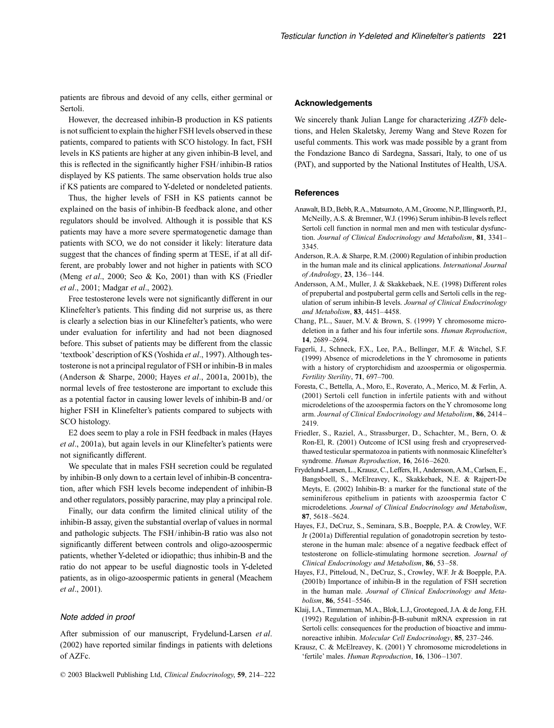patients are fibrous and devoid of any cells, either germinal or Sertoli.

However, the decreased inhibin-B production in KS patients is not sufficient to explain the higher FSH levels observed in these patients, compared to patients with SCO histology. In fact, FSH levels in KS patients are higher at any given inhibin-B level, and this is reflected in the significantly higher FSH/inhibin-B ratios displayed by KS patients. The same observation holds true also if KS patients are compared to Y-deleted or nondeleted patients.

Thus, the higher levels of FSH in KS patients cannot be explained on the basis of inhibin-B feedback alone, and other regulators should be involved. Although it is possible that KS patients may have a more severe spermatogenetic damage than patients with SCO, we do not consider it likely: literature data suggest that the chances of finding sperm at TESE, if at all different, are probably lower and not higher in patients with SCO (Meng *et al*., 2000; Seo & Ko, 2001) than with KS (Friedler *et al*., 2001; Madgar *et al*., 2002).

Free testosterone levels were not significantly different in our Klinefelter's patients. This finding did not surprise us, as there is clearly a selection bias in our Klinefelter's patients, who were under evaluation for infertility and had not been diagnosed before. This subset of patients may be different from the classic 'textbook' description of KS (Yoshida *et al*., 1997). Although testosterone is not a principal regulator of FSH or inhibin-B in males (Anderson & Sharpe, 2000; Hayes *et al*., 2001a, 2001b), the normal levels of free testosterone are important to exclude this as a potential factor in causing lower levels of inhibin-B and/or higher FSH in Klinefelter's patients compared to subjects with SCO histology.

E2 does seem to play a role in FSH feedback in males (Hayes *et al*., 2001a), but again levels in our Klinefelter's patients were not significantly different.

We speculate that in males FSH secretion could be regulated by inhibin-B only down to a certain level of inhibin-B concentration, after which FSH levels become independent of inhibin-B and other regulators, possibly paracrine, may play a principal role.

Finally, our data confirm the limited clinical utility of the inhibin-B assay, given the substantial overlap of values in normal and pathologic subjects. The FSH/inhibin-B ratio was also not significantly different between controls and oligo-azoospermic patients, whether Y-deleted or idiopathic; thus inhibin-B and the ratio do not appear to be useful diagnostic tools in Y-deleted patients, as in oligo-azoospermic patients in general (Meachem *et al*., 2001).

## *Note added in proof*

After submission of our manuscript, Frydelund-Larsen *et al*. (2002) have reported similar findings in patients with deletions of AZFc.

© 2003 Blackwell Publishing Ltd, *Clinical Endocrinology*, **59**, 214–222

#### **Acknowledgements**

We sincerely thank Julian Lange for characterizing *AZFb* deletions, and Helen Skaletsky, Jeremy Wang and Steve Rozen for useful comments. This work was made possible by a grant from the Fondazione Banco di Sardegna, Sassari, Italy, to one of us (PAT), and supported by the National Institutes of Health, USA.

#### **References**

- Anawalt, B.D., Bebb, R.A., Matsumoto, A.M., Groome, N.P., Illingworth, P.J., McNeilly, A.S. & Bremner, W.J. (1996) Serum inhibin-B levels reflect Sertoli cell function in normal men and men with testicular dysfunction. *Journal of Clinical Endocrinology and Metabolism*, **81**, 3341– 3345.
- Anderson, R.A. & Sharpe, R.M. (2000) Regulation of inhibin production in the human male and its clinical applications. *International Journal of Andrology*, **23**, 136–144.
- Andersson, A.M., Muller, J. & Skakkebaek, N.E. (1998) Different roles of prepubertal and postpubertal germ cells and Sertoli cells in the regulation of serum inhibin-B levels. *Journal of Clinical Endocrinology and Metabolism*, **83**, 4451–4458.
- Chang, P.L., Sauer, M.V. & Brown, S. (1999) Y chromosome microdeletion in a father and his four infertile sons. *Human Reproduction*, **14**, 2689–2694.
- Fagerli, J., Schneck, F.X., Lee, P.A., Bellinger, M.F. & Witchel, S.F. (1999) Absence of microdeletions in the Y chromosome in patients with a history of cryptorchidism and azoospermia or oligospermia. *Fertility Sterility*, **71**, 697–700.
- Foresta, C., Bettella, A., Moro, E., Roverato, A., Merico, M. & Ferlin, A. (2001) Sertoli cell function in infertile patients with and without microdeletions of the azoospermia factors on the Y chromosome long arm. *Journal of Clinical Endocrinology and Metabolism*, **86**, 2414– 2419.
- Friedler, S., Raziel, A., Strassburger, D., Schachter, M., Bern, O. & Ron-El, R. (2001) Outcome of ICSI using fresh and cryopreservedthawed testicular spermatozoa in patients with nonmosaic Klinefelter's syndrome. *Human Reproduction*, **16**, 2616–2620.
- Frydelund-Larsen, L., Krausz, C., Leffers, H., Andersson, A.M., Carlsen, E., Bangsboell, S., McElreavey, K., Skakkebaek, N.E. & Rajpert-De Meyts, E. (2002) Inhibin-B: a marker for the functional state of the seminiferous epithelium in patients with azoospermia factor C microdeletions. *Journal of Clinical Endocrinology and Metabolism*, **87**, 5618–5624.
- Hayes, F.J., DeCruz, S., Seminara, S.B., Boepple, P.A. & Crowley, W.F. Jr (2001a) Differential regulation of gonadotropin secretion by testosterone in the human male: absence of a negative feedback effect of testosterone on follicle-stimulating hormone secretion. *Journal of Clinical Endocrinology and Metabolism*, **86**, 53–58.
- Hayes, F.J., Pitteloud, N., DeCruz, S., Crowley, W.F. Jr & Boepple, P.A. (2001b) Importance of inhibin-B in the regulation of FSH secretion in the human male. *Journal of Clinical Endocrinology and Metabolism*, **86**, 5541–5546.
- Klaij, I.A., Timmerman, M.A., Blok, L.J., Grootegoed, J.A. & de Jong, F.H. (1992) Regulation of inhibin-β-B-subunit mRNA expression in rat Sertoli cells: consequences for the production of bioactive and immunoreactive inhibin. *Molecular Cell Endocrinology*, **85**, 237–246.
- Krausz, C. & McElreavey, K. (2001) Y chromosome microdeletions in 'fertile' males. *Human Reproduction*, **16**, 1306–1307.